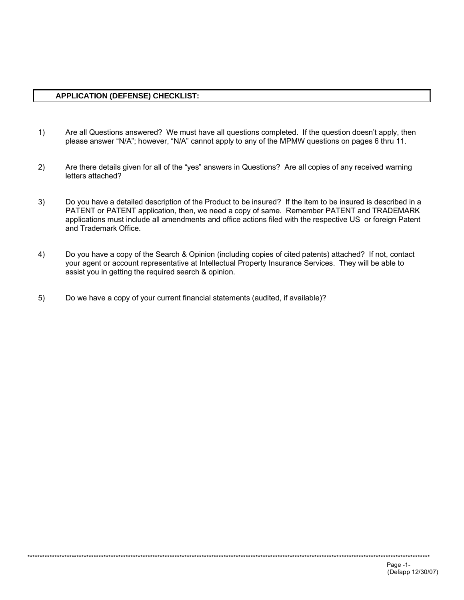## **APPLICATION (DEFENSE) CHECKLIST:**

- $1)$ Are all Questions answered? We must have all questions completed. If the question doesn't apply, then please answer "N/A"; however, "N/A" cannot apply to any of the MPMW questions on pages 6 thru 11.
- $2)$ Are there details given for all of the "yes" answers in Questions? Are all copies of any received warning letters attached?
- $3)$ Do you have a detailed description of the Product to be insured? If the item to be insured is described in a PATENT or PATENT application, then, we need a copy of same. Remember PATENT and TRADEMARK applications must include all amendments and office actions filed with the respective US or foreign Patent and Trademark Office.
- $4)$ Do you have a copy of the Search & Opinion (including copies of cited patents) attached? If not, contact your agent or account representative at Intellectual Property Insurance Services. They will be able to assist you in getting the required search & opinion.
- $5)$ Do we have a copy of your current financial statements (audited, if available)?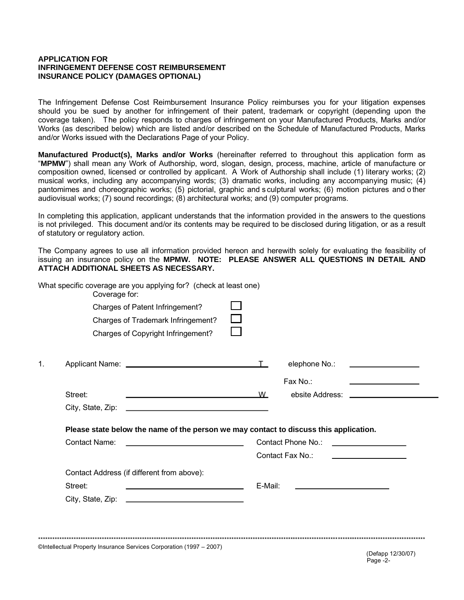### **APPLICATION FOR INFRINGEMENT DEFENSE COST REIMBURSEMENT INSURANCE POLICY (DAMAGES OPTIONAL)**

The Infringement Defense Cost Reimbursement Insurance Policy reimburses you for your litigation expenses should you be sued by another for infringement of their patent, trademark or copyright (depending upon the coverage taken). The policy responds to charges of infringement on your Manufactured Products. Marks and/or Works (as described below) which are listed and/or described on the Schedule of Manufactured Products, Marks and/or Works issued with the Declarations Page of your Policy.

Manufactured Product(s), Marks and/or Works (hereinafter referred to throughout this application form as "MPMW") shall mean any Work of Authorship, word, slogan, design, process, machine, article of manufacture or composition owned, licensed or controlled by applicant. A Work of Authorship shall include (1) literary works; (2) musical works, including any accompanying words; (3) dramatic works, including any accompanying music; (4) pantomimes and choreographic works; (5) pictorial, graphic and sculptural works; (6) motion pictures and other audiovisual works; (7) sound recordings; (8) architectural works; and (9) computer programs.

In completing this application, applicant understands that the information provided in the answers to the questions is not privileged. This document and/or its contents may be required to be disclosed during litigation, or as a result of statutory or regulatory action.

The Company agrees to use all information provided hereon and herewith solely for evaluating the feasibility of issuing an insurance policy on the MPMW. NOTE: PLEASE ANSWER ALL QUESTIONS IN DETAIL AND ATTACH ADDITIONAL SHEETS AS NECESSARY.

|    | What specific coverage are you applying for? (check at least one)<br>Coverage for: |                                                                                                                        |         |                                        |                                                    |
|----|------------------------------------------------------------------------------------|------------------------------------------------------------------------------------------------------------------------|---------|----------------------------------------|----------------------------------------------------|
|    |                                                                                    | Charges of Patent Infringement?                                                                                        |         |                                        |                                                    |
|    |                                                                                    | Charges of Trademark Infringement?<br>Charges of Copyright Infringement?                                               |         |                                        |                                                    |
|    |                                                                                    |                                                                                                                        |         |                                        |                                                    |
| 1. |                                                                                    |                                                                                                                        |         |                                        | elephone No.: <u>__________________</u>            |
|    |                                                                                    |                                                                                                                        |         | Fax No.:                               | <u> 1986 - John Stein, Amerikaansk politiker (</u> |
|    |                                                                                    |                                                                                                                        |         |                                        |                                                    |
|    | Street:                                                                            |                                                                                                                        | W       |                                        |                                                    |
|    | City, State, Zip:                                                                  |                                                                                                                        |         |                                        |                                                    |
|    |                                                                                    | Please state below the name of the person we may contact to discuss this application.                                  |         |                                        |                                                    |
|    | Contact Name:                                                                      | <u> 1980 - Johann Barbara, martxa alemaniar a</u>                                                                      |         | Contact Phone No.: ___________________ |                                                    |
|    |                                                                                    |                                                                                                                        |         | Contact Fax No.:                       | <u> 1989 - Johann Barn, mars ann an t-</u>         |
|    |                                                                                    | Contact Address (if different from above):                                                                             |         |                                        |                                                    |
|    | Street:                                                                            | <u> Listen van die Stad van die Stad van die Stad van die Stad van die Stad van die Stad van die Stad van die Stad</u> | E-Mail: |                                        |                                                    |

©Intellectual Property Insurance Services Corporation (1997 - 2007)

(Defapp 12/30/07) Page -2-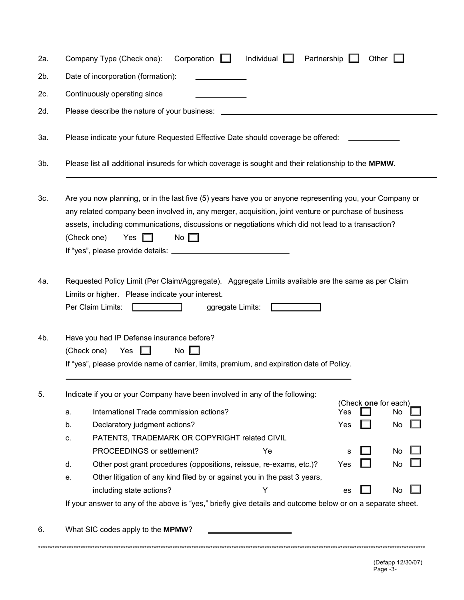| 2a.    | Corporation $\Box$<br>Individual [<br>Partnership [<br>Company Type (Check one):<br>Other                                                                                                                                                                                                                                                                 |  |  |  |  |  |  |  |  |  |  |
|--------|-----------------------------------------------------------------------------------------------------------------------------------------------------------------------------------------------------------------------------------------------------------------------------------------------------------------------------------------------------------|--|--|--|--|--|--|--|--|--|--|
| 2b.    | Date of incorporation (formation):                                                                                                                                                                                                                                                                                                                        |  |  |  |  |  |  |  |  |  |  |
| 2c.    | Continuously operating since                                                                                                                                                                                                                                                                                                                              |  |  |  |  |  |  |  |  |  |  |
| 2d.    | Please describe the nature of your business: ____                                                                                                                                                                                                                                                                                                         |  |  |  |  |  |  |  |  |  |  |
| За.    | Please indicate your future Requested Effective Date should coverage be offered:                                                                                                                                                                                                                                                                          |  |  |  |  |  |  |  |  |  |  |
| $3b$ . | Please list all additional insureds for which coverage is sought and their relationship to the MPMW.                                                                                                                                                                                                                                                      |  |  |  |  |  |  |  |  |  |  |
| 3c.    | Are you now planning, or in the last five (5) years have you or anyone representing you, your Company or<br>any related company been involved in, any merger, acquisition, joint venture or purchase of business<br>assets, including communications, discussions or negotiations which did not lead to a transaction?<br>Yes<br>No $\Box$<br>(Check one) |  |  |  |  |  |  |  |  |  |  |
| 4a.    | Requested Policy Limit (Per Claim/Aggregate). Aggregate Limits available are the same as per Claim<br>Limits or higher. Please indicate your interest.<br>Per Claim Limits:<br>ggregate Limits:                                                                                                                                                           |  |  |  |  |  |  |  |  |  |  |
| 4b.    | Have you had IP Defense insurance before?<br>(Check one)<br>No<br>Yes<br>1 L<br>If "yes", please provide name of carrier, limits, premium, and expiration date of Policy.                                                                                                                                                                                 |  |  |  |  |  |  |  |  |  |  |
| 5.     | Indicate if you or your Company have been involved in any of the following:                                                                                                                                                                                                                                                                               |  |  |  |  |  |  |  |  |  |  |
|        | (Check one for each)<br>International Trade commission actions?<br>Yes<br>No<br>a.                                                                                                                                                                                                                                                                        |  |  |  |  |  |  |  |  |  |  |
|        | Declaratory judgment actions?<br>Yes<br>No<br>b.                                                                                                                                                                                                                                                                                                          |  |  |  |  |  |  |  |  |  |  |
|        | PATENTS, TRADEMARK OR COPYRIGHT related CIVIL<br>C.                                                                                                                                                                                                                                                                                                       |  |  |  |  |  |  |  |  |  |  |
|        | PROCEEDINGS or settlement?<br>Ye<br>No<br>s                                                                                                                                                                                                                                                                                                               |  |  |  |  |  |  |  |  |  |  |
|        | Other post grant procedures (oppositions, reissue, re-exams, etc.)?<br>d.<br>Yes<br>No                                                                                                                                                                                                                                                                    |  |  |  |  |  |  |  |  |  |  |
|        | Other litigation of any kind filed by or against you in the past 3 years,<br>е.                                                                                                                                                                                                                                                                           |  |  |  |  |  |  |  |  |  |  |
|        | including state actions?<br>Y<br>No<br>es                                                                                                                                                                                                                                                                                                                 |  |  |  |  |  |  |  |  |  |  |
|        | If your answer to any of the above is "yes," briefly give details and outcome below or on a separate sheet.                                                                                                                                                                                                                                               |  |  |  |  |  |  |  |  |  |  |
| 6.     | What SIC codes apply to the MPMW?                                                                                                                                                                                                                                                                                                                         |  |  |  |  |  |  |  |  |  |  |
|        |                                                                                                                                                                                                                                                                                                                                                           |  |  |  |  |  |  |  |  |  |  |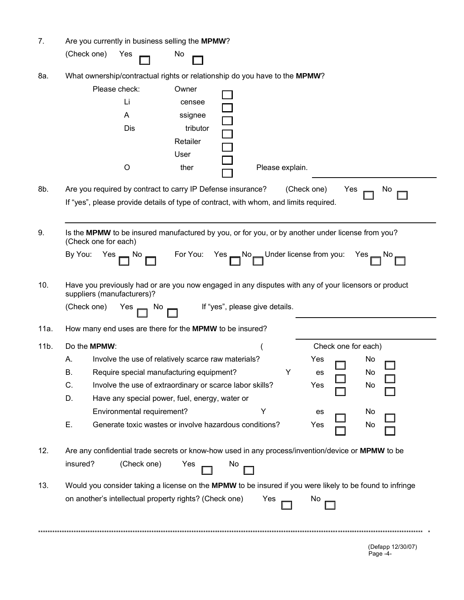| 7.   | Are you currently in business selling the MPMW?                                                                                    |
|------|------------------------------------------------------------------------------------------------------------------------------------|
|      | (Check one)<br>Yes<br>No                                                                                                           |
| 8a.  | What ownership/contractual rights or relationship do you have to the MPMW?                                                         |
|      | Please check:<br>Owner                                                                                                             |
|      | Li<br>censee<br>A<br>ssignee                                                                                                       |
|      | Dis<br>tributor                                                                                                                    |
|      | Retailer                                                                                                                           |
|      | User                                                                                                                               |
|      | $\circ$<br>ther<br>Please explain.                                                                                                 |
| 8b.  | Are you required by contract to carry IP Defense insurance?<br>(Check one)<br>Yes<br>No.                                           |
|      | If "yes", please provide details of type of contract, with whom, and limits required.                                              |
|      |                                                                                                                                    |
| 9.   | Is the MPMW to be insured manufactured by you, or for you, or by another under license from you?<br>(Check one for each)           |
|      | $Yes$ No $\Box$ For You: Yes $\Box$ No $\Box$ Under license from you:<br>By You:<br>$Yes \rightarrow No \rightarrow$               |
| 10.  | Have you previously had or are you now engaged in any disputes with any of your licensors or product<br>suppliers (manufacturers)? |
|      | $Yes \frown$ No $\frown$ If "yes", please give details.<br>(Check one)                                                             |
| 11a. | How many end uses are there for the MPMW to be insured?                                                                            |
| 11b. | Do the MPMW:<br>Check one for each)                                                                                                |
|      | Involve the use of relatively scarce raw materials?<br>А.<br>Yes<br>No                                                             |
|      | Require special manufacturing equipment?<br>No<br>В.<br>es                                                                         |
|      | C.<br>Involve the use of extraordinary or scarce labor skills?<br>Yes<br>No                                                        |
|      | D.<br>Have any special power, fuel, energy, water or<br>Υ<br>Environmental requirement?<br>No<br>es                                |
|      | Ε.<br>Generate toxic wastes or involve hazardous conditions?<br>Yes<br>No                                                          |
|      |                                                                                                                                    |
| 12.  | Are any confidential trade secrets or know-how used in any process/invention/device or MPMW to be                                  |
|      | insured?<br>(Check one)<br>Yes<br>No.                                                                                              |
| 13.  | Would you consider taking a license on the MPMW to be insured if you were likely to be found to infringe                           |
|      | on another's intellectual property rights? (Check one)<br>Yes<br>No.                                                               |
|      |                                                                                                                                    |
|      |                                                                                                                                    |

(Defapp 12/30/07)<br>Page -4-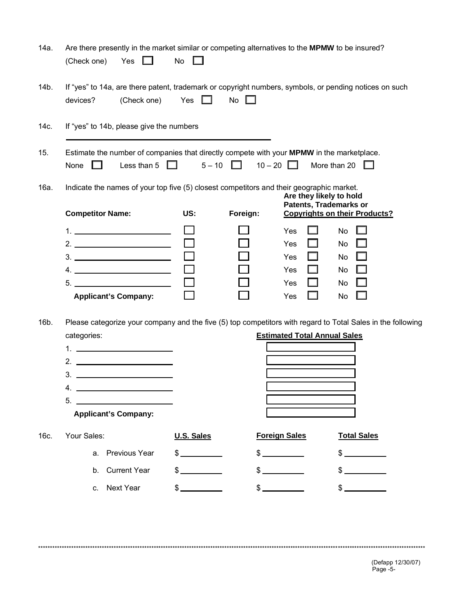| 14a. | Are there presently in the market similar or competing alternatives to the MPMW to be insured?<br>(Check one)<br>Yes<br>. .       | No            |                        |                                                          |                                      |
|------|-----------------------------------------------------------------------------------------------------------------------------------|---------------|------------------------|----------------------------------------------------------|--------------------------------------|
| 14b. | If "yes" to 14a, are there patent, trademark or copyright numbers, symbols, or pending notices on such<br>devices?<br>(Check one) | Yes           | No                     |                                                          |                                      |
| 14c. | If "yes" to 14b, please give the numbers                                                                                          |               |                        |                                                          |                                      |
| 15.  | Estimate the number of companies that directly compete with your MPMW in the marketplace.<br>Less than 5 $\Box$<br>None $\square$ |               | $5-10$ 10 $-20$ $\Box$ |                                                          | More than 20 $\Box$                  |
| 16a. | Indicate the names of your top five (5) closest competitors and their geographic market.                                          |               |                        | Are they likely to hold<br><b>Patents, Trademarks or</b> |                                      |
|      | <b>Competitor Name:</b>                                                                                                           | US:           | Foreign:               |                                                          | <b>Copyrights on their Products?</b> |
|      |                                                                                                                                   |               |                        | Yes                                                      | No                                   |
|      | $2.$ $\overline{\phantom{a}}$                                                                                                     |               |                        | Yes<br>I I                                               | No                                   |
|      |                                                                                                                                   |               |                        | Yes                                                      | No                                   |
|      |                                                                                                                                   |               |                        | Yes                                                      | No                                   |
|      | <b>Applicant's Company:</b>                                                                                                       |               |                        | Yes<br>Yes                                               | No<br>No                             |
| 16b. | Please categorize your company and the five (5) top competitors with regard to Total Sales in the following                       |               |                        |                                                          |                                      |
|      | categories:                                                                                                                       |               |                        | <b>Estimated Total Annual Sales</b>                      |                                      |
|      | $2.$ $\overline{\phantom{a}}$                                                                                                     |               |                        |                                                          |                                      |
|      |                                                                                                                                   |               |                        |                                                          |                                      |
|      | 4.<br><u> 1980 - Johann John Stone, fransk politik (</u>                                                                          |               |                        |                                                          |                                      |
|      | 5.                                                                                                                                |               |                        |                                                          |                                      |
|      | <b>Applicant's Company:</b>                                                                                                       |               |                        |                                                          |                                      |
| 16c. | Your Sales:                                                                                                                       | U.S. Sales    |                        | <b>Foreign Sales</b>                                     | <b>Total Sales</b>                   |
|      | <b>Previous Year</b><br>a.                                                                                                        | $\frac{1}{2}$ |                        |                                                          | \$                                   |
|      | <b>Current Year</b><br>b.                                                                                                         |               |                        |                                                          | $\frac{1}{2}$                        |
|      | Next Year<br>$C_{\cdot}$                                                                                                          |               |                        | $\sim$                                                   | $\frac{1}{2}$                        |

(Defapp 12/30/07)<br>Page -5-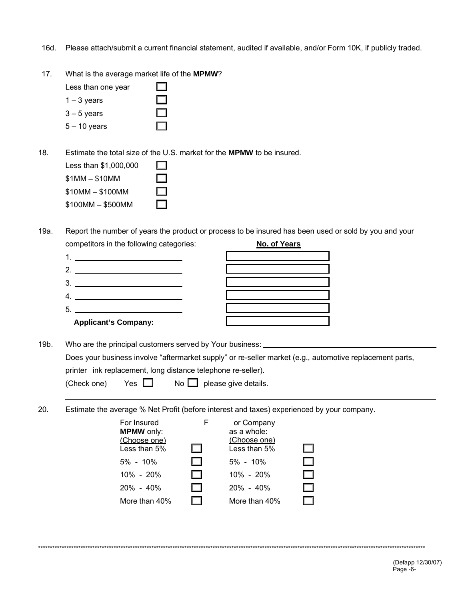- 16d. Please attach/submit a current financial statement, audited if available, and/or Form 10K, if publicly traded.
- 17. What is the average market life of the **MPMW**?

| Less than one year |  |
|--------------------|--|
| $1 - 3$ years      |  |
| $3 - 5$ years      |  |
| $5 - 10$ years     |  |

18. Estimate the total size of the U.S. market for the **MPMW** to be insured.

| Less than \$1,000,000 | 1 I |
|-----------------------|-----|
| $$1MM - $10MM$        | . . |
| $$10MM - $100MM$      |     |
| \$100MM - \$500MM     |     |

19a. Report the number of years the product or process to be insured has been used or sold by you and your competitors in the following categories: **No. of Years**



19b. Who are the principal customers served by Your business:

Does your business involve "aftermarket supply" or re-seller market (e.g., automotive replacement parts, printer ink replacement, long distance telephone re-seller).

| Yes $\Box$<br>(Check one) |  | No $\Box$ please give details. |
|---------------------------|--|--------------------------------|
|---------------------------|--|--------------------------------|

20. Estimate the average % Net Profit (before interest and taxes) experienced by your company.

| For Insured<br><b>MPMW</b> only:<br>(Choose one)<br>Less than 5%<br>$5\% - 10\%$<br>$10\% - 20\%$<br>$20\% - 40\%$<br>More than 40% | $\Box$<br>. .<br>. .<br>. . | or Company<br>as a whole:<br>(Choose one)<br>Less than 5%<br>$5\% - 10\%$<br>$10\% - 20\%$<br>$20\% - 40\%$<br>More than 40% |  |
|-------------------------------------------------------------------------------------------------------------------------------------|-----------------------------|------------------------------------------------------------------------------------------------------------------------------|--|
|                                                                                                                                     |                             |                                                                                                                              |  |

\*\*\*\*\*\*\*\*\*\*\*\*\*\*\*\*\*\*\*\*\*\*\*\*\*\*\*\*\*\*\*\*\*\*\*\*\*\*\*\*\*\*\*\*\*\*\*\*\*\*\*\*\*\*\*\*\*\*\*\*\*\*\*\*\*\*\*\*\*\*\*\*\*\*\*\*\*\*\*\*\*\*\*\*\*\*\*\*\*\*\*\*\*\*\*\*\*\*\*\*\*\*\*\*\*\*\*\*\*\*\*\*\*\*\*\*\*\*\*\*\*\*\*\*\*\*\*\*\*\*\*\*\*\*\*\*\*\*\*\*\*\*\*\*\*\*\*\*\*\*\*\*\*\*\*\*\*\*\*\*\*\*\*\*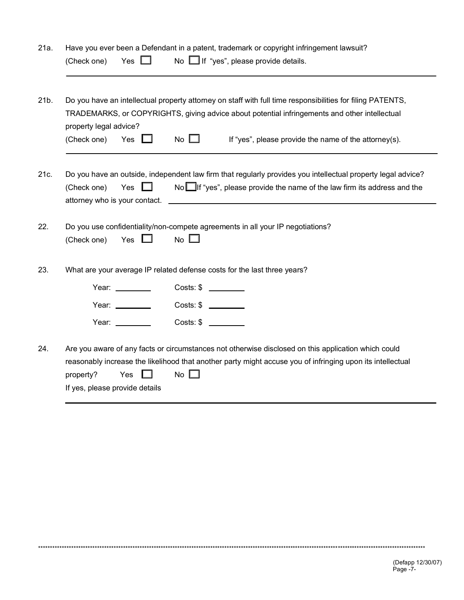| 21b. |                        |                     |                                                                                                                                                                                                                                                                                                                                                                                                                                                              |
|------|------------------------|---------------------|--------------------------------------------------------------------------------------------------------------------------------------------------------------------------------------------------------------------------------------------------------------------------------------------------------------------------------------------------------------------------------------------------------------------------------------------------------------|
|      |                        |                     | Do you have an intellectual property attorney on staff with full time responsibilities for filing PATENTS,                                                                                                                                                                                                                                                                                                                                                   |
|      |                        |                     | TRADEMARKS, or COPYRIGHTS, giving advice about potential infringements and other intellectual                                                                                                                                                                                                                                                                                                                                                                |
|      | property legal advice? | Yes                 | No $\square$                                                                                                                                                                                                                                                                                                                                                                                                                                                 |
|      | (Check one)            |                     | If "yes", please provide the name of the attorney(s).                                                                                                                                                                                                                                                                                                                                                                                                        |
|      |                        |                     |                                                                                                                                                                                                                                                                                                                                                                                                                                                              |
|      |                        |                     | Do you have an outside, independent law firm that regularly provides you intellectual property legal advice?                                                                                                                                                                                                                                                                                                                                                 |
|      | (Check one)            | Yes                 | No If "yes", please provide the name of the law firm its address and the                                                                                                                                                                                                                                                                                                                                                                                     |
|      |                        |                     |                                                                                                                                                                                                                                                                                                                                                                                                                                                              |
|      |                        |                     |                                                                                                                                                                                                                                                                                                                                                                                                                                                              |
|      |                        |                     |                                                                                                                                                                                                                                                                                                                                                                                                                                                              |
|      |                        |                     | Do you use confidentiality/non-compete agreements in all your IP negotiations?                                                                                                                                                                                                                                                                                                                                                                               |
|      | (Check one)            | Yes                 | No $\square$                                                                                                                                                                                                                                                                                                                                                                                                                                                 |
|      |                        |                     |                                                                                                                                                                                                                                                                                                                                                                                                                                                              |
|      |                        |                     | What are your average IP related defense costs for the last three years?                                                                                                                                                                                                                                                                                                                                                                                     |
|      |                        | Year: $\frac{1}{2}$ | $Costs: $ \fbox{\hspace{1cm}} \fbox{\hspace{1cm}} \fbox{\hspace{1cm}} \fbox{\hspace{1cm}} \fbox{\hspace{1cm}} \fbox{\hspace{1cm}} \fbox{\hspace{1cm}} \fbox{\hspace{1cm}} \fbox{\hspace{1cm}} \fbox{\hspace{1cm}} \fbox{\hspace{1cm}} \fbox{\hspace{1cm}} \fbox{\hspace{1cm}} \fbox{\hspace{1cm}} \fbox{\hspace{1cm}} \fbox{\hspace{1cm}} \fbox{\hspace{1cm}} \fbox{\hspace{1cm}} \fbox{\hspace{1cm}} \fbox{\hspace{1cm}} \fbox{\hspace{1cm}} \fbox{\hspace$ |
|      |                        |                     |                                                                                                                                                                                                                                                                                                                                                                                                                                                              |
|      |                        | Year: _________     | $Costs: $ \fbox{\hspace{1cm}} \fbox{\hspace{1cm}} \fbox{\hspace{1cm}}\fbox{\hspace{1cm}}\fbox{\hspace{1cm}}\fbox{\hspace{1cm}}$                                                                                                                                                                                                                                                                                                                              |
|      |                        | Year: ________      | $Costs: $ \fbox{\hspace{1cm}} \fbox{\hspace{1cm}} \fbox{\hspace{1cm}}\fbox{\hspace{1cm}}\fbox{\hspace{1cm}}$                                                                                                                                                                                                                                                                                                                                                 |
|      |                        |                     |                                                                                                                                                                                                                                                                                                                                                                                                                                                              |
|      |                        |                     | Are you aware of any facts or circumstances not otherwise disclosed on this application which could                                                                                                                                                                                                                                                                                                                                                          |
|      | property?              | Yes                 | reasonably increase the likelihood that another party might accuse you of infringing upon its intellectual<br>No $\square$                                                                                                                                                                                                                                                                                                                                   |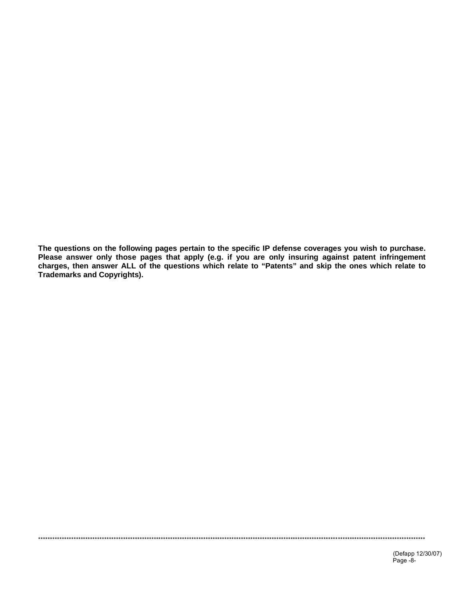The questions on the following pages pertain to the specific IP defense coverages you wish to purchase.<br>Please answer only those pages that apply (e.g. if you are only insuring against patent infringement charges, then answer ALL of the questions which relate to "Patents" and skip the ones which relate to **Trademarks and Copyrights).**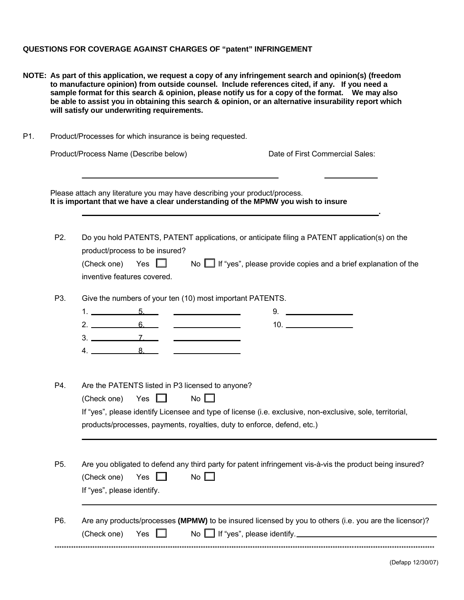#### **QUESTIONS FOR COVERAGE AGAINST CHARGES OF "patent" INFRINGEMENT**

- **NOTE: As part of this application, we request a copy of any infringement search and opinion(s) (freedom to manufacture opinion) from outside counsel. Include references cited, if any. If you need a sample format for this search & opinion, please notify us for a copy of the format. We may also be able to assist you in obtaining this search & opinion, or an alternative insurability report which will satisfy our underwriting requirements.**
- P1. Product/Processes for which insurance is being requested. Product/Process Name (Describe below) Date of First Commercial Sales: Please attach any literature you may have describing your product/process. **It is important that we have a clear understanding of the MPMW you wish to insure .** P2. Do you hold PATENTS, PATENT applications, or anticipate filing a PATENT application(s) on the product/process to be insured? (Check one) Yes  $\Box$  No  $\Box$  If "yes", please provide copies and a brief explanation of the inventive features covered. P3. Give the numbers of your ten (10) most important PATENTS. 1. 5. 9. 2. 6. 10.  $3. \underline{\hspace{1.5cm}7. \underline{\hspace{1.5cm}}}}$ <u> Louis Communication (Communication</u>  $4. \_ 8.$ P4. Are the PATENTS listed in P3 licensed to anyone? (Check one) Yes  $\Box$  No  $\Box$ If "yes", please identify Licensee and type of license (i.e. exclusive, non-exclusive, sole, territorial, products/processes, payments, royalties, duty to enforce, defend, etc.) P5. Are you obligated to defend any third party for patent infringement vis-à-vis the product being insured? (Check one) Yes  $\Box$  No  $\Box$ If "yes", please identify. P6. Are any products/processes **(MPMW)** to be insured licensed by you to others (i.e. you are the licensor)? (Check one) Yes  $\Box$  No  $\Box$  If "yes", please identify.

\*\*\*\*\*\*\*\*\*\*\*\*\*\*\*\*\*\*\*\*\*\*\*\*\*\*\*\*\*\*\*\*\*\*\*\*\*\*\*\*\*\*\*\*\*\*\*\*\*\*\*\*\*\*\*\*\*\*\*\*\*\*\*\*\*\*\*\*\*\*\*\*\*\*\*\*\*\*\*\*\*\*\*\*\*\*\*\*\*\*\*\*\*\*\*\*\*\*\*\*\*\*\*\*\*\*\*\*\*\*\*\*\*\*\*\*\*\*\*\*\*\*\*\*\*\*\*\*\*\*\*\*\*\*\*\*\*\*\*\*\*\*\*\*\*\*\*\*\*\*\*\*\*\*\*\*\*\*\*\*\*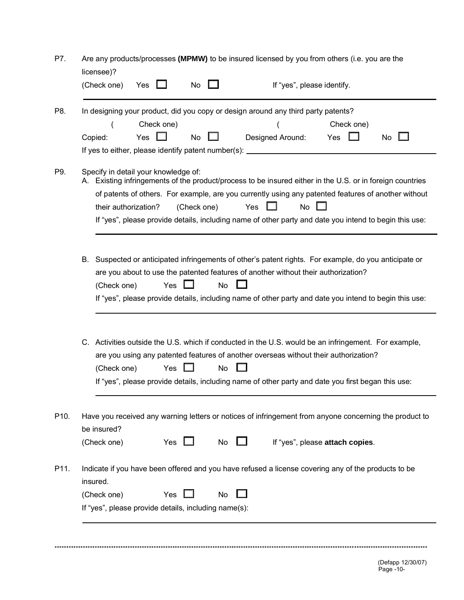|              | licensee)?<br>(Check one)                                    | Yes               | No          |    | If "yes", please identify.                                                                                                                                                                                                                                                                                                              |                                 |    |
|--------------|--------------------------------------------------------------|-------------------|-------------|----|-----------------------------------------------------------------------------------------------------------------------------------------------------------------------------------------------------------------------------------------------------------------------------------------------------------------------------------------|---------------------------------|----|
| P8.          | Copied:                                                      | Check one)<br>Yes | No          |    | In designing your product, did you copy or design around any third party patents?<br>Designed Around:<br>If yes to either, please identify patent number(s): ____________________________                                                                                                                                               | Check one)<br>Yes               | No |
| P9.          | Specify in detail your knowledge of:<br>their authorization? |                   | (Check one) |    | A. Existing infringements of the product/process to be insured either in the U.S. or in foreign countries<br>of patents of others. For example, are you currently using any patented features of another without<br>Yes<br>No<br>If "yes", please provide details, including name of other party and date you intend to begin this use: |                                 |    |
|              | (Check one)                                                  |                   | Yes         | No | B. Suspected or anticipated infringements of other's patent rights. For example, do you anticipate or<br>are you about to use the patented features of another without their authorization?<br>If "yes", please provide details, including name of other party and date you intend to begin this use:                                   |                                 |    |
|              |                                                              |                   |             |    |                                                                                                                                                                                                                                                                                                                                         |                                 |    |
|              | (Check one)                                                  |                   | Yes         | No | C. Activities outside the U.S. which if conducted in the U.S. would be an infringement. For example,<br>are you using any patented features of another overseas without their authorization?<br>If "yes", please provide details, including name of other party and date you first began this use:                                      |                                 |    |
|              | be insured?                                                  |                   |             |    | Have you received any warning letters or notices of infringement from anyone concerning the product to                                                                                                                                                                                                                                  |                                 |    |
|              | (Check one)                                                  |                   | Yes $\Box$  | No |                                                                                                                                                                                                                                                                                                                                         | If "yes", please attach copies. |    |
| P10.<br>P11. | insured.                                                     |                   |             |    | Indicate if you have been offered and you have refused a license covering any of the products to be                                                                                                                                                                                                                                     |                                 |    |
|              | (Check one)                                                  |                   | Yes         | No |                                                                                                                                                                                                                                                                                                                                         |                                 |    |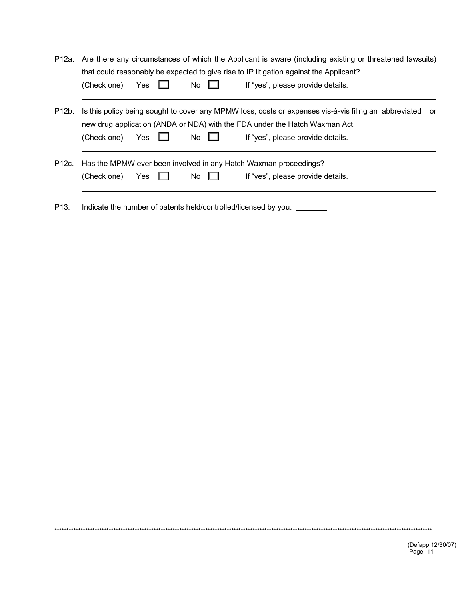|                        |  |           | P12a. Are there any circumstances of which the Applicant is aware (including existing or threatened lawsuits) |
|------------------------|--|-----------|---------------------------------------------------------------------------------------------------------------|
|                        |  |           | that could reasonably be expected to give rise to IP litigation against the Applicant?                        |
| (Check one) Yes $\Box$ |  | No $\Box$ | If "yes", please provide details.                                                                             |

P12b. Is this policy being sought to cover any MPMW loss, costs or expenses vis-à-vis filing an abbreviated or new drug application (ANDA or NDA) with the FDA under the Hatch Waxman Act.  $(Check one) \tYes \tNo \tIf "yes", please provide details.$ 

|                        |           | P12c. Has the MPMW ever been involved in any Hatch Waxman proceedings? |  |
|------------------------|-----------|------------------------------------------------------------------------|--|
| (Check one) Yes $\Box$ | No $\Box$ | If "yes", please provide details.                                      |  |

P13. Indicate the number of patents held/controlled/licensed by you. \_\_\_\_\_\_

\*\*\*\*\*\*\*\*\*\*\*\*\*\*\*\*\*\*\*\*\*\*\*\*\*\*\*\*\*\*\*\*\*\*\*\*\*\*\*\*\*\*\*\*\*\*\*\*\*\*\*\*\*\*\*\*\*\*\*\*\*\*\*\*\*\*\*\*\*\*\*\*\*\*\*\*\*\*\*\*\*\*\*\*\*\*\*\*\*\*\*\*\*\*\*\*\*\*\*\*\*\*\*\*\*\*\*\*\*\*\*\*\*\*\*\*\*\*\*\*\*\*\*\*\*\*\*\*\*\*\*\*\*\*\*\*\*\*\*\*\*\*\*\*\*\*\*\*\*\*\*\*\*\*\*\*\*\*\*\*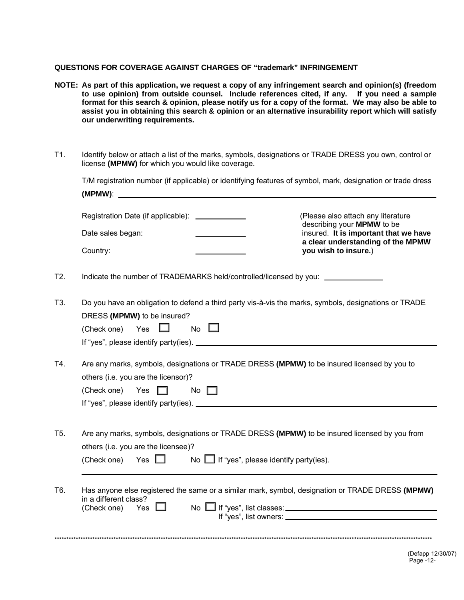### **QUESTIONS FOR COVERAGE AGAINST CHARGES OF "trademark" INFRINGEMENT**

- **NOTE: As part of this application, we request a copy of any infringement search and opinion(s) (freedom to use opinion) from outside counsel. Include references cited, if any. If you need a sample format for this search & opinion, please notify us for a copy of the format. We may also be able to assist you in obtaining this search & opinion or an alternative insurability report which will satisfy our underwriting requirements.**
- T1. Identify below or attach a list of the marks, symbols, designations or TRADE DRESS you own, control or license **(MPMW)** for which you would like coverage.

T/M registration number (if applicable) or identifying features of symbol, mark, designation or trade dress **(MPMW)**:

| Registration Date (if applicable): _____________ | (Please also attach any literature)<br>describing your <b>MPMW</b> to be   |
|--------------------------------------------------|----------------------------------------------------------------------------|
| Date sales began:                                | insured. It is important that we have<br>a clear understanding of the MPMW |
| Country:                                         | you wish to insure.)                                                       |

T2. Indicate the number of TRADEMARKS held/controlled/licensed by you: \_\_\_\_\_\_\_\_\_

T3. Do you have an obligation to defend a third party vis-à-vis the marks, symbols, designations or TRADE DRESS **(MPMW)** to be insured?

| (Check one) Yes                       |  | No |  |
|---------------------------------------|--|----|--|
| If "yes", please identify party(ies). |  |    |  |
|                                       |  |    |  |

T4. Are any marks, symbols, designations or TRADE DRESS **(MPMW)** to be insured licensed by you to others (i.e. you are the licensor)?  $(Check one)$  Yes  $\Box$  No  $\Box$ 

| If "yes", please identify party(ies). |  |  |
|---------------------------------------|--|--|

T5. Are any marks, symbols, designations or TRADE DRESS **(MPMW)** to be insured licensed by you from others (i.e. you are the licensee)?

| (Check one) Yes $\Box$ |  | No $\Box$ If "yes", please identify party(ies). |
|------------------------|--|-------------------------------------------------|
|------------------------|--|-------------------------------------------------|

T6. Has anyone else registered the same or a similar mark, symbol, designation or TRADE DRESS **(MPMW)** in a different class?<br>(Check one) Yes  $(Check one)$  Yes  $\Box$  No  $\Box$  If "yes", list classes:  $\Box$ If "yes", list owners:

\*\*\*\*\*\*\*\*\*\*\*\*\*\*\*\*\*\*\*\*\*\*\*\*\*\*\*\*\*\*\*\*\*\*\*\*\*\*\*\*\*\*\*\*\*\*\*\*\*\*\*\*\*\*\*\*\*\*\*\*\*\*\*\*\*\*\*\*\*\*\*\*\*\*\*\*\*\*\*\*\*\*\*\*\*\*\*\*\*\*\*\*\*\*\*\*\*\*\*\*\*\*\*\*\*\*\*\*\*\*\*\*\*\*\*\*\*\*\*\*\*\*\*\*\*\*\*\*\*\*\*\*\*\*\*\*\*\*\*\*\*\*\*\*\*\*\*\*\*\*\*\*\*\*\*\*\*\*\*\*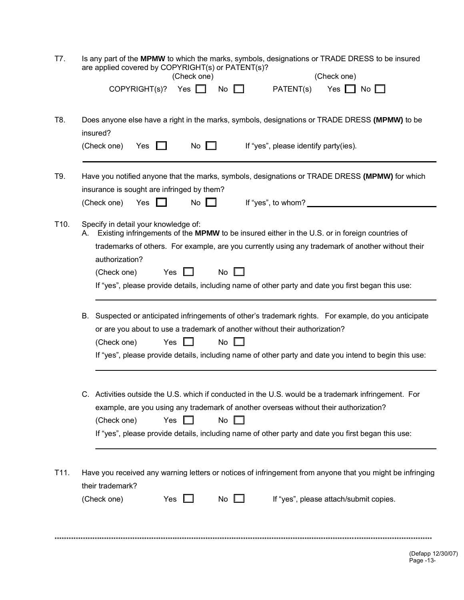| T7. | Is any part of the MPMW to which the marks, symbols, designations or TRADE DRESS to be insured |             |
|-----|------------------------------------------------------------------------------------------------|-------------|
|     | are applied covered by COPYRIGHT(s) or PATENT(s)?                                              |             |
|     | (Check one)                                                                                    | (Check one) |

|      | insured?<br>(Check one)                                               | Yes                              | $\Box$     | No $\square$ |    | If "yes", please identify party(ies).                                                             |                                                                                                                                                                                                                 |
|------|-----------------------------------------------------------------------|----------------------------------|------------|--------------|----|---------------------------------------------------------------------------------------------------|-----------------------------------------------------------------------------------------------------------------------------------------------------------------------------------------------------------------|
| T9.  | insurance is sought are infringed by them?<br>(Check one)             | Yes $\Box$                       |            | No $\square$ |    |                                                                                                   | Have you notified anyone that the marks, symbols, designations or TRADE DRESS (MPMW) for which                                                                                                                  |
| T10. | Specify in detail your knowledge of:<br>authorization?<br>(Check one) |                                  | Yes $\Box$ |              | No | A. Existing infringements of the MPMW to be insured either in the U.S. or in foreign countries of | trademarks of others. For example, are you currently using any trademark of another without their<br>If "yes", please provide details, including name of other party and date you first began this use:         |
|      |                                                                       |                                  |            |              |    |                                                                                                   |                                                                                                                                                                                                                 |
|      | (Check one)                                                           |                                  | Yes        |              | No | or are you about to use a trademark of another without their authorization?                       | B. Suspected or anticipated infringements of other's trademark rights. For example, do you anticipate<br>If "yes", please provide details, including name of other party and date you intend to begin this use: |
|      |                                                                       | (Check one) Yes $\Box$ No $\Box$ |            |              |    | example, are you using any trademark of another overseas without their authorization?             | C. Activities outside the U.S. which if conducted in the U.S. would be a trademark infringement. For<br>If "yes", please provide details, including name of other party and date you first began this use:      |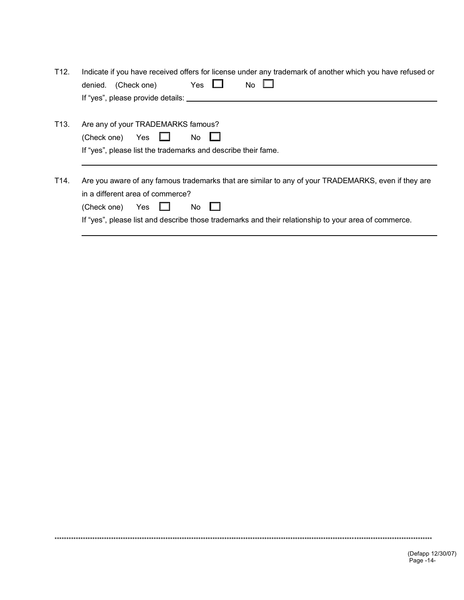| T12. | Indicate if you have received offers for license under any trademark of another which you have refused or<br>Yes<br><b>No</b><br>(Check one)<br>denied.<br>If "yes", please provide details: ________                                                                        |
|------|------------------------------------------------------------------------------------------------------------------------------------------------------------------------------------------------------------------------------------------------------------------------------|
| T13. | Are any of your TRADEMARKS famous?<br>(Check one) Yes $\Box$<br>No<br>If "yes", please list the trademarks and describe their fame.                                                                                                                                          |
| T14. | Are you aware of any famous trademarks that are similar to any of your TRADEMARKS, even if they are<br>in a different area of commerce?<br>(Check one)<br>Yes<br>No.<br>If "yes", please list and describe those trademarks and their relationship to your area of commerce. |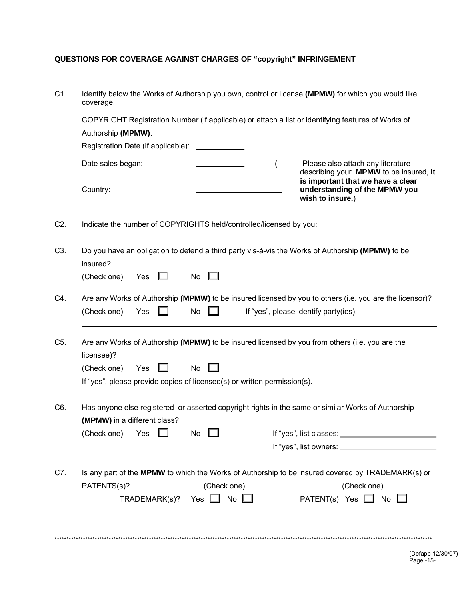# QUESTIONS FOR COVERAGE AGAINST CHARGES OF "copyright" INFRINGEMENT

| C1.              | Identify below the Works of Authorship you own, control or license (MPMW) for which you would like<br>coverage.                                                                                                                    |  |  |  |  |  |  |  |
|------------------|------------------------------------------------------------------------------------------------------------------------------------------------------------------------------------------------------------------------------------|--|--|--|--|--|--|--|
|                  | COPYRIGHT Registration Number (if applicable) or attach a list or identifying features of Works of                                                                                                                                 |  |  |  |  |  |  |  |
|                  | Authorship (MPMW):                                                                                                                                                                                                                 |  |  |  |  |  |  |  |
|                  | Registration Date (if applicable):                                                                                                                                                                                                 |  |  |  |  |  |  |  |
|                  | Please also attach any literature<br>Date sales began:<br>$\overline{(}$<br>describing your MPMW to be insured, It<br>is important that we have a clear                                                                            |  |  |  |  |  |  |  |
|                  | Country:<br>understanding of the MPMW you<br>wish to insure.)                                                                                                                                                                      |  |  |  |  |  |  |  |
| C2.              | Indicate the number of COPYRIGHTS held/controlled/licensed by you: ____________                                                                                                                                                    |  |  |  |  |  |  |  |
| C <sub>3</sub> . | Do you have an obligation to defend a third party vis-à-vis the Works of Authorship (MPMW) to be<br>insured?                                                                                                                       |  |  |  |  |  |  |  |
|                  | (Check one)<br>Yes<br>No $\Box$                                                                                                                                                                                                    |  |  |  |  |  |  |  |
| C4.              | Are any Works of Authorship (MPMW) to be insured licensed by you to others (i.e. you are the licensor)?                                                                                                                            |  |  |  |  |  |  |  |
|                  | No<br>(Check one)<br>Yes<br>If "yes", please identify party(ies).                                                                                                                                                                  |  |  |  |  |  |  |  |
| C <sub>5</sub> . | Are any Works of Authorship (MPMW) to be insured licensed by you from others (i.e. you are the<br>licensee)?<br>Yes<br><b>No</b><br>(Check one)<br>. .<br>If "yes", please provide copies of licensee(s) or written permission(s). |  |  |  |  |  |  |  |
| C6.              | Has anyone else registered or asserted copyright rights in the same or similar Works of Authorship                                                                                                                                 |  |  |  |  |  |  |  |
|                  | (MPMW) in a different class?                                                                                                                                                                                                       |  |  |  |  |  |  |  |
|                  | (Check one) Yes<br>No                                                                                                                                                                                                              |  |  |  |  |  |  |  |
|                  |                                                                                                                                                                                                                                    |  |  |  |  |  |  |  |
| C7.              | Is any part of the MPMW to which the Works of Authorship to be insured covered by TRADEMARK(s) or                                                                                                                                  |  |  |  |  |  |  |  |
|                  | PATENTS(s)?<br>(Check one)<br>(Check one)                                                                                                                                                                                          |  |  |  |  |  |  |  |
|                  | TRADEMARK(s)? Yes $\Box$ No $\Box$<br>PATENT(s) Yes $\Box$ No $\Box$                                                                                                                                                               |  |  |  |  |  |  |  |
|                  |                                                                                                                                                                                                                                    |  |  |  |  |  |  |  |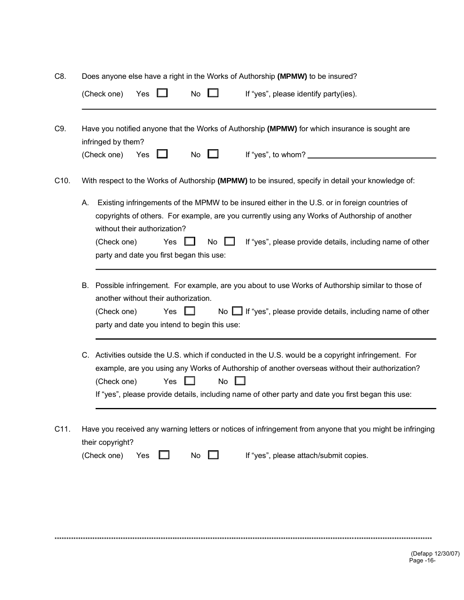| C8. |  |  |  | Does anyone else have a right in the Works of Authorship (MPMW) to be insured? |
|-----|--|--|--|--------------------------------------------------------------------------------|
|     |  |  |  |                                                                                |

|      | (Check one)<br>If "yes", please identify party(ies).<br><b>No</b><br>Yes                                                                                                                                                                                                                                                                                                   |  |  |  |  |  |  |  |
|------|----------------------------------------------------------------------------------------------------------------------------------------------------------------------------------------------------------------------------------------------------------------------------------------------------------------------------------------------------------------------------|--|--|--|--|--|--|--|
| C9.  | Have you notified anyone that the Works of Authorship (MPMW) for which insurance is sought are<br>infringed by them?                                                                                                                                                                                                                                                       |  |  |  |  |  |  |  |
|      | If "yes", to whom? __________<br>(Check one)<br>Yes<br>No                                                                                                                                                                                                                                                                                                                  |  |  |  |  |  |  |  |
| C10. | With respect to the Works of Authorship (MPMW) to be insured, specify in detail your knowledge of:                                                                                                                                                                                                                                                                         |  |  |  |  |  |  |  |
|      | Existing infringements of the MPMW to be insured either in the U.S. or in foreign countries of<br>А.<br>copyrights of others. For example, are you currently using any Works of Authorship of another<br>without their authorization?<br>If "yes", please provide details, including name of other<br>Yes<br>No<br>(Check one)<br>party and date you first began this use: |  |  |  |  |  |  |  |
|      | Possible infringement. For example, are you about to use Works of Authorship similar to those of<br>В.<br>another without their authorization.<br>No $\Box$ If "yes", please provide details, including name of other<br>Yes<br>(Check one)<br>party and date you intend to begin this use:                                                                                |  |  |  |  |  |  |  |
|      | C. Activities outside the U.S. which if conducted in the U.S. would be a copyright infringement. For<br>example, are you using any Works of Authorship of another overseas without their authorization?<br><b>No</b><br>(Check one)<br>Yes<br>If "yes", please provide details, including name of other party and date you first began this use:                           |  |  |  |  |  |  |  |
| C11. | Have you received any warning letters or notices of infringement from anyone that you might be infringing<br>their copyright?<br>If "yes", please attach/submit copies.<br>(Check one)<br>Yes<br>No                                                                                                                                                                        |  |  |  |  |  |  |  |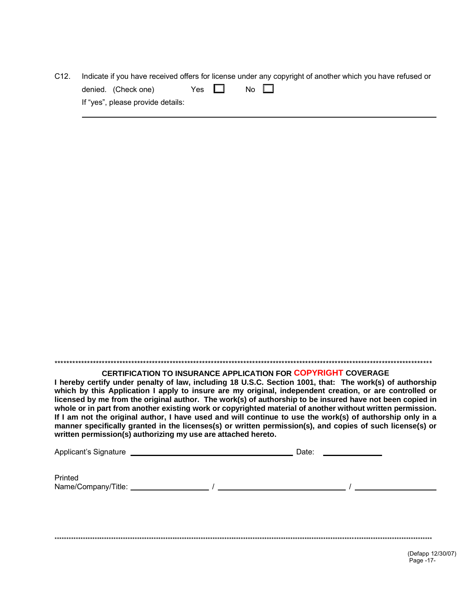| C12. |                                   |            |  | Indicate if you have received offers for license under any copyright of another which you have refused or |
|------|-----------------------------------|------------|--|-----------------------------------------------------------------------------------------------------------|
|      | denied. (Check one)               | Yes $\Box$ |  | No $\Box$                                                                                                 |
|      | If "yes", please provide details: |            |  |                                                                                                           |
|      |                                   |            |  |                                                                                                           |

## **CERTIFICATION TO INSURANCE APPLICATION FOR COPYRIGHT COVERAGE**

I hereby certify under penalty of law, including 18 U.S.C. Section 1001, that: The work(s) of authorship which by this Application I apply to insure are my original, independent creation, or are controlled or licensed by me from the original author. The work(s) of authorship to be insured have not been copied in whole or in part from another existing work or copyrighted material of another without written permission. If I am not the original author, I have used and will continue to use the work(s) of authorship only in a manner specifically granted in the licenses(s) or written permission(s), and copies of such license(s) or written permission(s) authorizing my use are attached hereto.

| Applicant's Signature | Date: |  |
|-----------------------|-------|--|
|                       |       |  |
| Printed               |       |  |
| Name/Company/Title:   |       |  |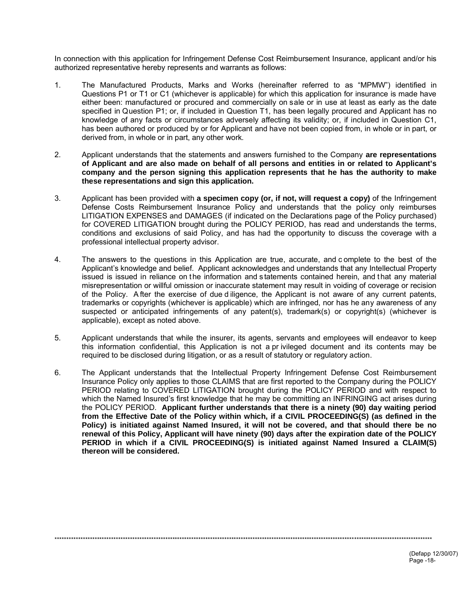In connection with this application for Infringement Defense Cost Reimbursement Insurance, applicant and/or his authorized representative hereby represents and warrants as follows:

- $1<sub>1</sub>$ The Manufactured Products, Marks and Works (hereinafter referred to as "MPMW") identified in Questions P1 or T1 or C1 (whichever is applicable) for which this application for insurance is made have either been: manufactured or procured and commercially on sale or in use at least as early as the date specified in Question P1; or, if included in Question T1, has been legally procured and Applicant has no knowledge of any facts or circumstances adversely affecting its validity; or, if included in Question C1, has been authored or produced by or for Applicant and have not been copied from, in whole or in part, or derived from, in whole or in part, any other work.
- $2.$ Applicant understands that the statements and answers furnished to the Company are representations of Applicant and are also made on behalf of all persons and entities in or related to Applicant's company and the person signing this application represents that he has the authority to make these representations and sign this application.
- $3<sub>1</sub>$ Applicant has been provided with a specimen copy (or, if not, will request a copy) of the Infringement Defense Costs Reimbursement Insurance Policy and understands that the policy only reimburses LITIGATION EXPENSES and DAMAGES (if indicated on the Declarations page of the Policy purchased) for COVERED LITIGATION brought during the POLICY PERIOD, has read and understands the terms, conditions and exclusions of said Policy, and has had the opportunity to discuss the coverage with a professional intellectual property advisor.
- $4.$ The answers to the questions in this Application are true, accurate, and complete to the best of the Applicant's knowledge and belief. Applicant acknowledges and understands that any Intellectual Property issued is issued in reliance on the information and statements contained herein, and that any material misrepresentation or willful omission or inaccurate statement may result in voiding of coverage or recision of the Policy. After the exercise of due diligence, the Applicant is not aware of any current patents, trademarks or copyrights (whichever is applicable) which are infringed, nor has he any awareness of any suspected or anticipated infringements of any patent(s), trademark(s) or copyright(s) (whichever is applicable), except as noted above.
- 5. Applicant understands that while the insurer, its agents, servants and employees will endeavor to keep this information confidential, this Application is not a privileged document and its contents may be required to be disclosed during litigation, or as a result of statutory or requlatory action.
- The Applicant understands that the Intellectual Property Infringement Defense Cost Reimbursement 6. Insurance Policy only applies to those CLAIMS that are first reported to the Company during the POLICY PERIOD relating to COVERED LITIGATION brought during the POLICY PERIOD and with respect to which the Named Insured's first knowledge that he may be committing an INFRINGING act arises during the POLICY PERIOD. Applicant further understands that there is a ninety (90) day waiting period from the Effective Date of the Policy within which, if a CIVIL PROCEEDING(S) (as defined in the Policy) is initiated against Named Insured, it will not be covered, and that should there be no renewal of this Policy, Applicant will have ninety (90) days after the expiration date of the POLICY PERIOD in which if a CIVIL PROCEEDING(S) is initiated against Named Insured a CLAIM(S) thereon will be considered.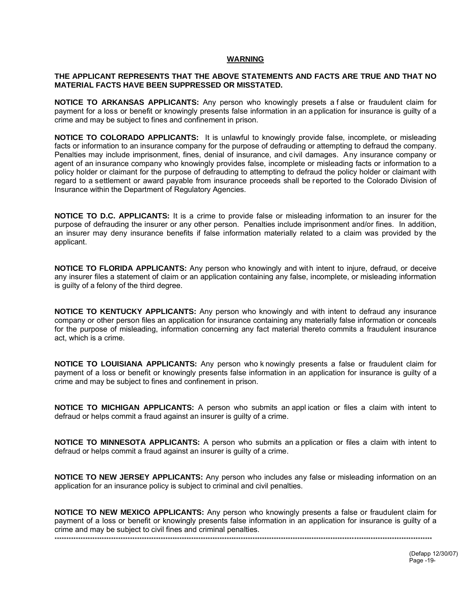### **WARNING**

### THE APPLICANT REPRESENTS THAT THE ABOVE STATEMENTS AND FACTS ARE TRUE AND THAT NO MATERIAL FACTS HAVE BEEN SUPPRESSED OR MISSTATED.

NOTICE TO ARKANSAS APPLICANTS: Any person who knowingly presets a false or fraudulent claim for payment for a loss or benefit or knowingly presents false information in an application for insurance is quilty of a crime and may be subject to fines and confinement in prison.

NOTICE TO COLORADO APPLICANTS: It is unlawful to knowingly provide false, incomplete, or misleading facts or information to an insurance company for the purpose of defrauding or attempting to defraud the company. Penalties may include imprisonment, fines, denial of insurance, and civil damages. Any insurance company or agent of an insurance company who knowingly provides false, incomplete or misleading facts or information to a policy holder or claimant for the purpose of defrauding to attempting to defraud the policy holder or claimant with regard to a settlement or award payable from insurance proceeds shall be reported to the Colorado Division of Insurance within the Department of Regulatory Agencies.

**NOTICE TO D.C. APPLICANTS:** It is a crime to provide false or misleading information to an insurer for the purpose of defrauding the insurer or any other person. Penalties include imprisonment and/or fines. In addition, an insurer may deny insurance benefits if false information materially related to a claim was provided by the applicant.

**NOTICE TO FLORIDA APPLICANTS:** Any person who knowingly and with intent to injure, defraud, or deceive any insurer files a statement of claim or an application containing any false, incomplete, or misleading information is quilty of a felony of the third degree.

NOTICE TO KENTUCKY APPLICANTS: Any person who knowingly and with intent to defraud any insurance company or other person files an application for insurance containing any materially false information or conceals for the purpose of misleading, information concerning any fact material thereto commits a fraudulent insurance act, which is a crime.

NOTICE TO LOUISIANA APPLICANTS: Any person who knowingly presents a false or fraudulent claim for payment of a loss or benefit or knowingly presents false information in an application for insurance is guilty of a crime and may be subject to fines and confinement in prison.

NOTICE TO MICHIGAN APPLICANTS: A person who submits an application or files a claim with intent to defraud or helps commit a fraud against an insurer is guilty of a crime.

NOTICE TO MINNESOTA APPLICANTS: A person who submits an application or files a claim with intent to defraud or helps commit a fraud against an insurer is guilty of a crime.

NOTICE TO NEW JERSEY APPLICANTS: Any person who includes any false or misleading information on an application for an insurance policy is subject to criminal and civil penalties.

NOTICE TO NEW MEXICO APPLICANTS: Any person who knowingly presents a false or fraudulent claim for payment of a loss or benefit or knowingly presents false information in an application for insurance is guilty of a crime and may be subject to civil fines and criminal penalties.